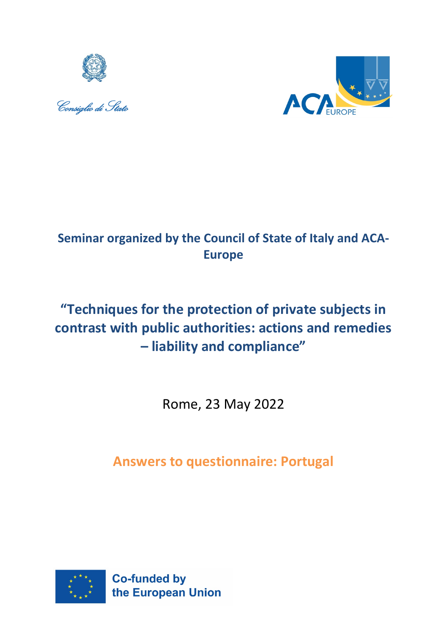





# **Seminar organized by the Council of State of Italy and ACA-Europe**

# **"Techniques for the protection of private subjects in contrast with public authorities: actions and remedies – liability and compliance"**

Rome, 23 May 2022

**Answers to questionnaire: Portugal**

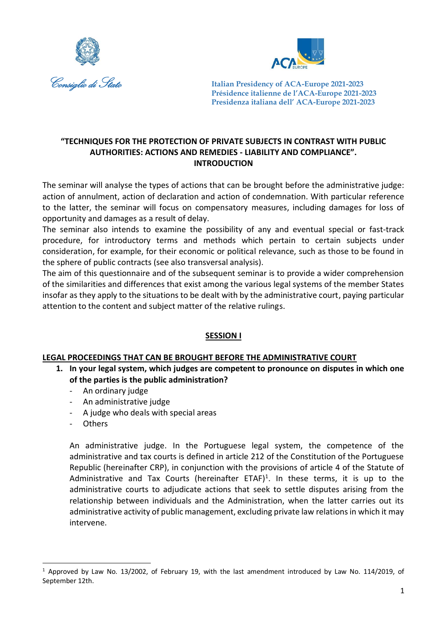



#### **"TECHNIQUES FOR THE PROTECTION OF PRIVATE SUBJECTS IN CONTRAST WITH PUBLIC AUTHORITIES: ACTIONS AND REMEDIES - LIABILITY AND COMPLIANCE". INTRODUCTION**

The seminar will analyse the types of actions that can be brought before the administrative judge: action of annulment, action of declaration and action of condemnation. With particular reference to the latter, the seminar will focus on compensatory measures, including damages for loss of opportunity and damages as a result of delay.

The seminar also intends to examine the possibility of any and eventual special or fast-track procedure, for introductory terms and methods which pertain to certain subjects under consideration, for example, for their economic or political relevance, such as those to be found in the sphere of public contracts (see also transversal analysis).

The aim of this questionnaire and of the subsequent seminar is to provide a wider comprehension of the similarities and differences that exist among the various legal systems of the member States insofar as they apply to the situations to be dealt with by the administrative court, paying particular attention to the content and subject matter of the relative rulings.

#### **SESSION I**

#### **LEGAL PROCEEDINGS THAT CAN BE BROUGHT BEFORE THE ADMINISTRATIVE COURT**

- **1. In your legal system, which judges are competent to pronounce on disputes in which one of the parties is the public administration?**
	- An ordinary judge
	- An administrative judge
	- A judge who deals with special areas
	- Others

1

An administrative judge. In the Portuguese legal system, the competence of the administrative and tax courts is defined in article 212 of the Constitution of the Portuguese Republic (hereinafter CRP), in conjunction with the provisions of article 4 of the Statute of Administrative and Tax Courts (hereinafter ETAF)<sup>1</sup>. In these terms, it is up to the administrative courts to adjudicate actions that seek to settle disputes arising from the relationship between individuals and the Administration, when the latter carries out its administrative activity of public management, excluding private law relations in which it may intervene.

<sup>1</sup> Approved by Law No. 13/2002, of February 19, with the last amendment introduced by Law No. 114/2019, of September 12th.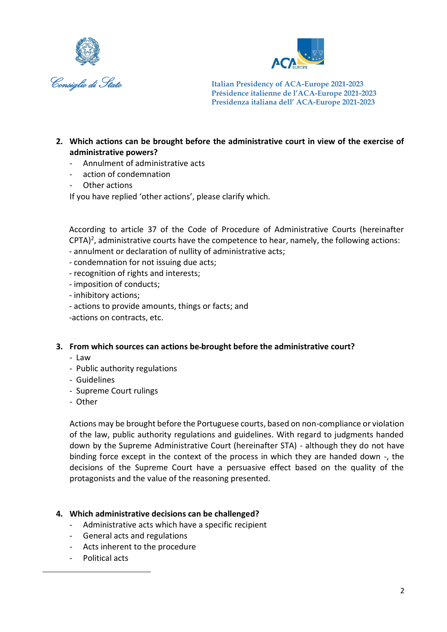



- **2. Which actions can be brought before the administrative court in view of the exercise of administrative powers?**
	- Annulment of administrative acts
	- action of condemnation
	- Other actions

If you have replied 'other actions', please clarify which.

According to article 37 of the Code of Procedure of Administrative Courts (hereinafter  $CPTA)^2$ , administrative courts have the competence to hear, namely, the following actions:

- annulment or declaration of nullity of administrative acts;
- condemnation for not issuing due acts;
- recognition of rights and interests;
- imposition of conducts;
- inhibitory actions;
- actions to provide amounts, things or facts; and
- -actions on contracts, etc.

#### **3. From which sources can actions be brought before the administrative court?**

- Law
- Public authority regulations
- Guidelines
- Supreme Court rulings
- Other

Actions may be brought before the Portuguese courts, based on non-compliance or violation of the law, public authority regulations and guidelines. With regard to judgments handed down by the Supreme Administrative Court (hereinafter STA) - although they do not have binding force except in the context of the process in which they are handed down -, the decisions of the Supreme Court have a persuasive effect based on the quality of the protagonists and the value of the reasoning presented.

#### **4. Which administrative decisions can be challenged?**

- Administrative acts which have a specific recipient
- General acts and regulations
- Acts inherent to the procedure
- Political acts

1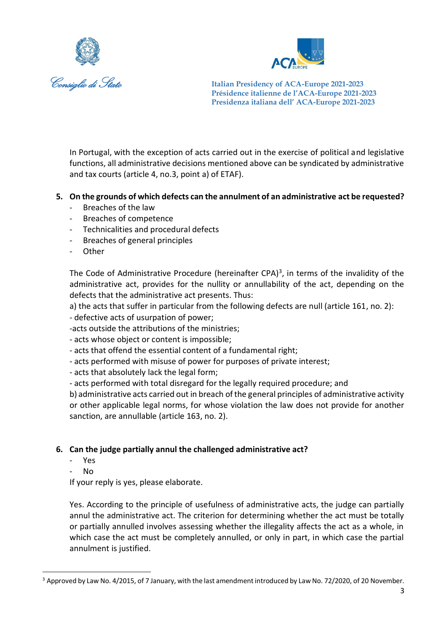



In Portugal, with the exception of acts carried out in the exercise of political and legislative functions, all administrative decisions mentioned above can be syndicated by administrative and tax courts (article 4, no.3, point a) of ETAF).

## **5. On the grounds of which defects can the annulment of an administrative act be requested?**

- Breaches of the law
- Breaches of competence
- Technicalities and procedural defects
- Breaches of general principles
- **Other**

The Code of Administrative Procedure (hereinafter CPA) $3$ , in terms of the invalidity of the administrative act, provides for the nullity or annullability of the act, depending on the defects that the administrative act presents. Thus:

a) the acts that suffer in particular from the following defects are null (article 161, no. 2):

- defective acts of usurpation of power;

-acts outside the attributions of the ministries;

- acts whose object or content is impossible;

- acts that offend the essential content of a fundamental right;

- acts performed with misuse of power for purposes of private interest;

- acts that absolutely lack the legal form;

- acts performed with total disregard for the legally required procedure; and

b) administrative acts carried out in breach of the general principles of administrative activity or other applicable legal norms, for whose violation the law does not provide for another sanction, are annullable (article 163, no. 2).

#### **6. Can the judge partially annul the challenged administrative act?**

- Yes
- No

1

If your reply is yes, please elaborate.

Yes. According to the principle of usefulness of administrative acts, the judge can partially annul the administrative act. The criterion for determining whether the act must be totally or partially annulled involves assessing whether the illegality affects the act as a whole, in which case the act must be completely annulled, or only in part, in which case the partial annulment is justified.

<sup>&</sup>lt;sup>3</sup> Approved by Law No. 4/2015, of 7 January, with the last amendment introduced by Law No. 72/2020, of 20 November.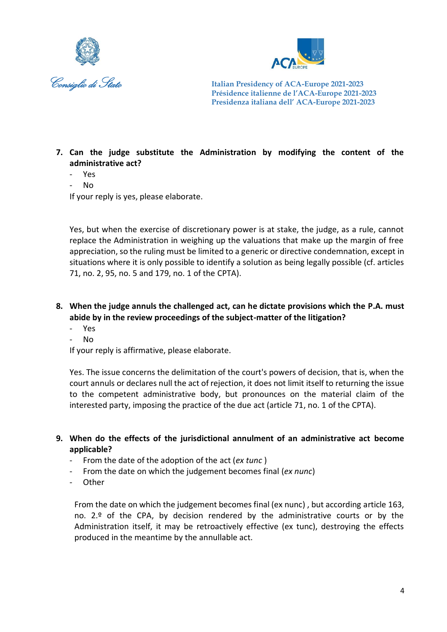



# **7. Can the judge substitute the Administration by modifying the content of the administrative act?**

- Yes
- No

If your reply is yes, please elaborate.

Yes, but when the exercise of discretionary power is at stake, the judge, as a rule, cannot replace the Administration in weighing up the valuations that make up the margin of free appreciation, so the ruling must be limited to a generic or directive condemnation, except in situations where it is only possible to identify a solution as being legally possible (cf. articles 71, no. 2, 95, no. 5 and 179, no. 1 of the CPTA).

**8. When the judge annuls the challenged act, can he dictate provisions which the P.A. must abide by in the review proceedings of the subject-matter of the litigation?**

- Yes
- No

If your reply is affirmative, please elaborate.

Yes. The issue concerns the delimitation of the court's powers of decision, that is, when the court annuls or declares null the act of rejection, it does not limit itself to returning the issue to the competent administrative body, but pronounces on the material claim of the interested party, imposing the practice of the due act (article 71, no. 1 of the CPTA).

**9. When do the effects of the jurisdictional annulment of an administrative act become applicable?**

- From the date of the adoption of the act (*ex tunc* )
- From the date on which the judgement becomes final (*ex nunc*)
- Other

From the date on which the judgement becomes final (ex nunc) , but according article 163, no. 2.º of the CPA, by decision rendered by the administrative courts or by the Administration itself, it may be retroactively effective (ex tunc), destroying the effects produced in the meantime by the annullable act.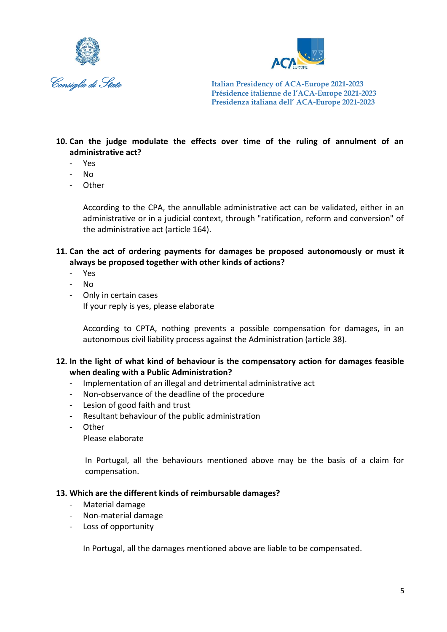



# **10. Can the judge modulate the effects over time of the ruling of annulment of an administrative act?**

- Yes
- No
- **Other**

According to the CPA, the annullable administrative act can be validated, either in an administrative or in a judicial context, through "ratification, reform and conversion" of the administrative act (article 164).

**11. Can the act of ordering payments for damages be proposed autonomously or must it always be proposed together with other kinds of actions?**

- Yes
- No
- Only in certain cases If your reply is yes, please elaborate

According to CPTA, nothing prevents a possible compensation for damages, in an autonomous civil liability process against the Administration (article 38).

#### **12. In the light of what kind of behaviour is the compensatory action for damages feasible when dealing with a Public Administration?**

- Implementation of an illegal and detrimental administrative act
- Non-observance of the deadline of the procedure
- Lesion of good faith and trust
- Resultant behaviour of the public administration
- Other

Please elaborate

In Portugal, all the behaviours mentioned above may be the basis of a claim for compensation.

#### **13. Which are the different kinds of reimbursable damages?**

- Material damage
- Non-material damage
- Loss of opportunity

In Portugal, all the damages mentioned above are liable to be compensated.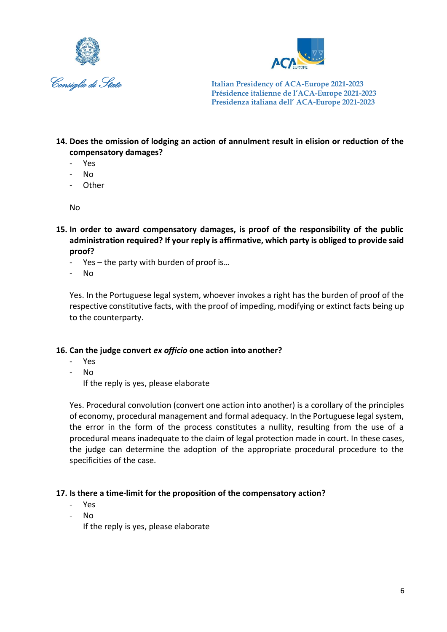



- **14. Does the omission of lodging an action of annulment result in elision or reduction of the compensatory damages?**
	- Yes
	- No
	- Other

No

- **15. In order to award compensatory damages, is proof of the responsibility of the public administration required? If your reply is affirmative, which party is obliged to provide said proof?**
	- Yes the party with burden of proof is…
	- No

Yes. In the Portuguese legal system, whoever invokes a right has the burden of proof of the respective constitutive facts, with the proof of impeding, modifying or extinct facts being up to the counterparty.

#### **16. Can the judge convert** *ex officio* **one action into another?**

- Yes
- No

If the reply is yes, please elaborate

Yes. Procedural convolution (convert one action into another) is a corollary of the principles of economy, procedural management and formal adequacy. In the Portuguese legal system, the error in the form of the process constitutes a nullity, resulting from the use of a procedural means inadequate to the claim of legal protection made in court. In these cases, the judge can determine the adoption of the appropriate procedural procedure to the specificities of the case.

#### **17. Is there a time-limit for the proposition of the compensatory action?**

- Yes
- No

If the reply is yes, please elaborate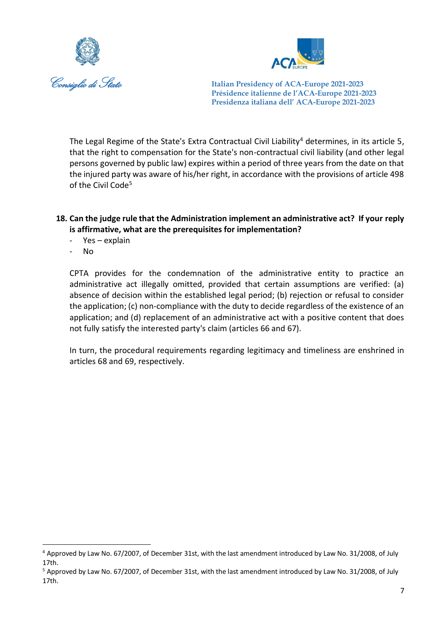



The Legal Regime of the State's Extra Contractual Civil Liability<sup>4</sup> determines, in its article 5, that the right to compensation for the State's non-contractual civil liability (and other legal persons governed by public law) expires within a period of three years from the date on that the injured party was aware of his/her right, in accordance with the provisions of article 498 of the Civil Code<sup>5</sup>

## **18. Can the judge rule that the Administration implement an administrative act? If your reply is affirmative, what are the prerequisites for implementation?**

- Yes explain
- No

**.** 

CPTA provides for the condemnation of the administrative entity to practice an administrative act illegally omitted, provided that certain assumptions are verified: (a) absence of decision within the established legal period; (b) rejection or refusal to consider the application; (c) non-compliance with the duty to decide regardless of the existence of an application; and (d) replacement of an administrative act with a positive content that does not fully satisfy the interested party's claim (articles 66 and 67).

In turn, the procedural requirements regarding legitimacy and timeliness are enshrined in articles 68 and 69, respectively.

<sup>4</sup> Approved by Law No. 67/2007, of December 31st, with the last amendment introduced by Law No. 31/2008, of July 17th.

<sup>5</sup> Approved by Law No. 67/2007, of December 31st, with the last amendment introduced by Law No. 31/2008, of July 17th.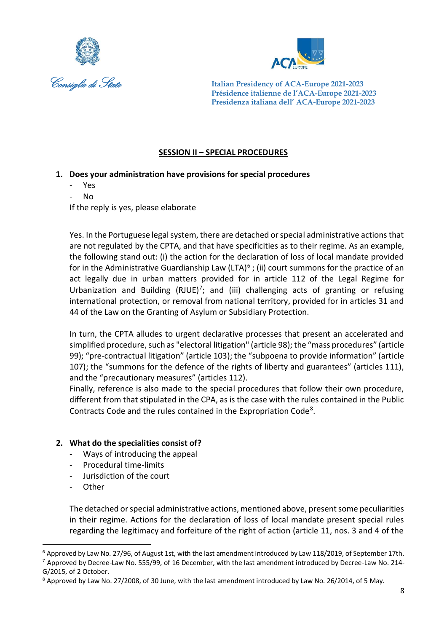



#### **SESSION II – SPECIAL PROCEDURES**

## **1. Does your administration have provisions for special procedures**

- Yes
- No

If the reply is yes, please elaborate

Yes. In the Portuguese legal system, there are detached or special administrative actions that are not regulated by the CPTA, and that have specificities as to their regime. As an example, the following stand out: (i) the action for the declaration of loss of local mandate provided for in the Administrative Guardianship Law (LTA)<sup>6</sup>; (ii) court summons for the practice of an act legally due in urban matters provided for in article 112 of the Legal Regime for Urbanization and Building (RJUE)<sup>7</sup>; and (iii) challenging acts of granting or refusing international protection, or removal from national territory, provided for in articles 31 and 44 of the Law on the Granting of Asylum or Subsidiary Protection.

In turn, the CPTA alludes to urgent declarative processes that present an accelerated and simplified procedure, such as "electoral litigation" (article 98); the "mass procedures" (article 99); "pre-contractual litigation" (article 103); the "subpoena to provide information" (article 107); the "summons for the defence of the rights of liberty and guarantees" (articles 111), and the "precautionary measures" (articles 112).

Finally, reference is also made to the special procedures that follow their own procedure, different from that stipulated in the CPA, as is the case with the rules contained in the Public Contracts Code and the rules contained in the Expropriation Code<sup>8</sup>.

#### **2. What do the specialities consist of?**

- Ways of introducing the appeal
- Procedural time-limits
- Jurisdiction of the court
- **Other**

**.** 

The detached or special administrative actions, mentioned above, present some peculiarities in their regime. Actions for the declaration of loss of local mandate present special rules regarding the legitimacy and forfeiture of the right of action (article 11, nos. 3 and 4 of the

<sup>6</sup> Approved by Law No. 27/96, of August 1st, with the last amendment introduced by Law 118/2019, of September 17th. <sup>7</sup> Approved by Decree-Law No. 555/99, of 16 December, with the last amendment introduced by Decree-Law No. 214- G/2015, of 2 October.

<sup>8</sup> Approved by Law No. 27/2008, of 30 June, with the last amendment introduced by Law No. 26/2014, of 5 May.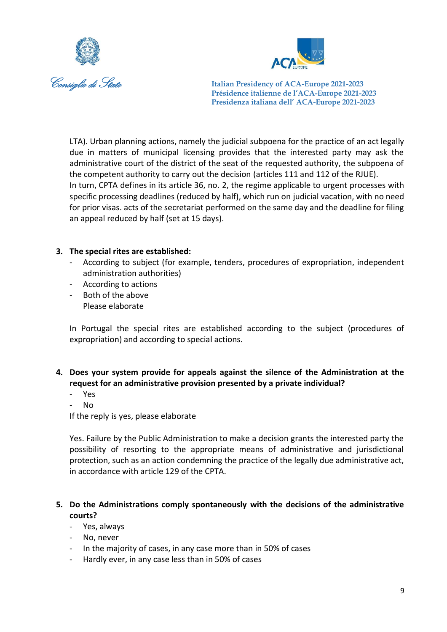



LTA). Urban planning actions, namely the judicial subpoena for the practice of an act legally due in matters of municipal licensing provides that the interested party may ask the administrative court of the district of the seat of the requested authority, the subpoena of the competent authority to carry out the decision (articles 111 and 112 of the RJUE). In turn, CPTA defines in its article 36, no. 2, the regime applicable to urgent processes with specific processing deadlines (reduced by half), which run on judicial vacation, with no need for prior visas. acts of the secretariat performed on the same day and the deadline for filing an appeal reduced by half (set at 15 days).

#### **3. The special rites are established:**

- According to subject (for example, tenders, procedures of expropriation, independent administration authorities)
- According to actions
- Both of the above Please elaborate

In Portugal the special rites are established according to the subject (procedures of expropriation) and according to special actions.

- **4. Does your system provide for appeals against the silence of the Administration at the request for an administrative provision presented by a private individual?**
	- Yes
	- No

If the reply is yes, please elaborate

Yes. Failure by the Public Administration to make a decision grants the interested party the possibility of resorting to the appropriate means of administrative and jurisdictional protection, such as an action condemning the practice of the legally due administrative act, in accordance with article 129 of the CPTA.

## **5. Do the Administrations comply spontaneously with the decisions of the administrative courts?**

- Yes, always
- No, never
- In the majority of cases, in any case more than in 50% of cases
- Hardly ever, in any case less than in 50% of cases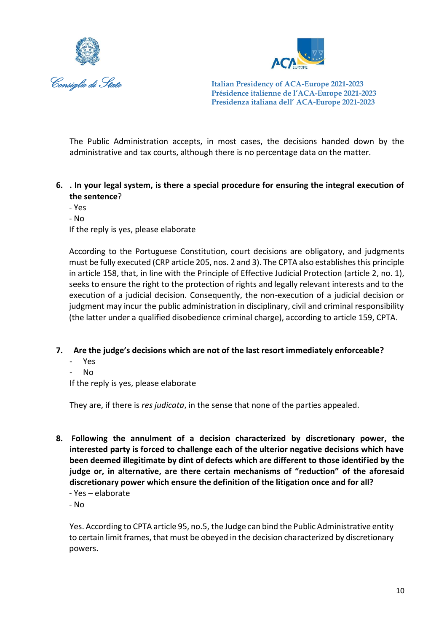



The Public Administration accepts, in most cases, the decisions handed down by the administrative and tax courts, although there is no percentage data on the matter.

- **6. . In your legal system, is there a special procedure for ensuring the integral execution of the sentence**?
	- Yes
	- No

If the reply is yes, please elaborate

According to the Portuguese Constitution, court decisions are obligatory, and judgments must be fully executed (CRP article 205, nos. 2 and 3). The CPTA also establishes this principle in article 158, that, in line with the Principle of Effective Judicial Protection (article 2, no. 1), seeks to ensure the right to the protection of rights and legally relevant interests and to the execution of a judicial decision. Consequently, the non-execution of a judicial decision or judgment may incur the public administration in disciplinary, civil and criminal responsibility (the latter under a qualified disobedience criminal charge), according to article 159, CPTA.

#### **7. Are the judge's decisions which are not of the last resort immediately enforceable?**

- Yes
- No

If the reply is yes, please elaborate

They are, if there is *res judicata*, in the sense that none of the parties appealed.

- **8. Following the annulment of a decision characterized by discretionary power, the interested party is forced to challenge each of the ulterior negative decisions which have been deemed illegitimate by dint of defects which are different to those identified by the judge or, in alternative, are there certain mechanisms of "reduction" of the aforesaid discretionary power which ensure the definition of the litigation once and for all?**
	- Yes elaborate
	- No

Yes. According to CPTA article 95, no.5, the Judge can bind the Public Administrative entity to certain limit frames, that must be obeyed in the decision characterized by discretionary powers.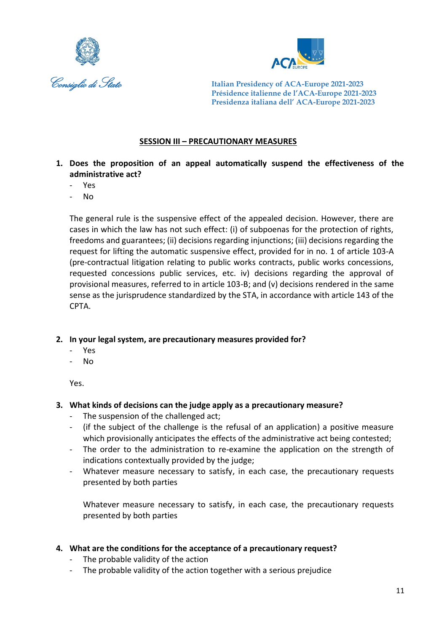



#### **SESSION III – PRECAUTIONARY MEASURES**

- **1. Does the proposition of an appeal automatically suspend the effectiveness of the administrative act?**
	- Yes
	- No

The general rule is the suspensive effect of the appealed decision. However, there are cases in which the law has not such effect: (i) of subpoenas for the protection of rights, freedoms and guarantees; (ii) decisions regarding injunctions; (iii) decisions regarding the request for lifting the automatic suspensive effect, provided for in no. 1 of article 103-A (pre-contractual litigation relating to public works contracts, public works concessions, requested concessions public services, etc. iv) decisions regarding the approval of provisional measures, referred to in article 103-B; and (v) decisions rendered in the same sense as the jurisprudence standardized by the STA, in accordance with article 143 of the CPTA.

#### **2. In your legal system, are precautionary measures provided for?**

- Yes
- No

Yes.

#### **3. What kinds of decisions can the judge apply as a precautionary measure?**

- The suspension of the challenged act;
- (if the subject of the challenge is the refusal of an application) a positive measure which provisionally anticipates the effects of the administrative act being contested;
- The order to the administration to re-examine the application on the strength of indications contextually provided by the judge;
- Whatever measure necessary to satisfy, in each case, the precautionary requests presented by both parties

Whatever measure necessary to satisfy, in each case, the precautionary requests presented by both parties

#### **4. What are the conditions for the acceptance of a precautionary request?**

- The probable validity of the action
- The probable validity of the action together with a serious prejudice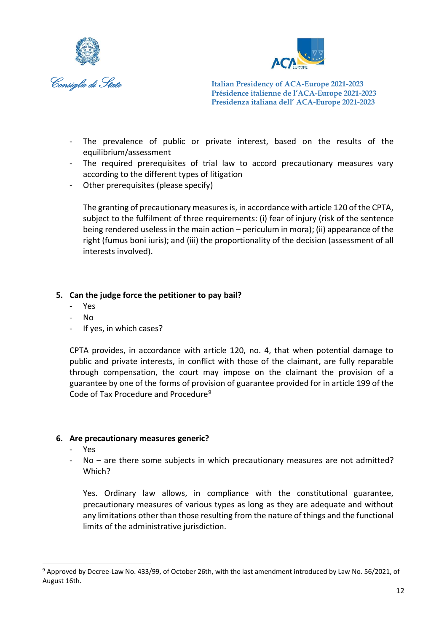



- The prevalence of public or private interest, based on the results of the equilibrium/assessment
- The required prerequisites of trial law to accord precautionary measures vary according to the different types of litigation
- Other prerequisites (please specify)

The granting of precautionary measures is, in accordance with article 120 of the CPTA, subject to the fulfilment of three requirements: (i) fear of injury (risk of the sentence being rendered useless in the main action – periculum in mora); (ii) appearance of the right (fumus boni iuris); and (iii) the proportionality of the decision (assessment of all interests involved).

#### **5. Can the judge force the petitioner to pay bail?**

- Yes
- No
- If yes, in which cases?

CPTA provides, in accordance with article 120, no. 4, that when potential damage to public and private interests, in conflict with those of the claimant, are fully reparable through compensation, the court may impose on the claimant the provision of a guarantee by one of the forms of provision of guarantee provided for in article 199 of the Code of Tax Procedure and Procedure<sup>9</sup>

#### **6. Are precautionary measures generic?**

- Yes
- $No$  are there some subjects in which precautionary measures are not admitted? Which?

Yes. Ordinary law allows, in compliance with the constitutional guarantee, precautionary measures of various types as long as they are adequate and without any limitations other than those resulting from the nature of things and the functional limits of the administrative jurisdiction.

<sup>1</sup> <sup>9</sup> Approved by Decree-Law No. 433/99, of October 26th, with the last amendment introduced by Law No. 56/2021, of August 16th.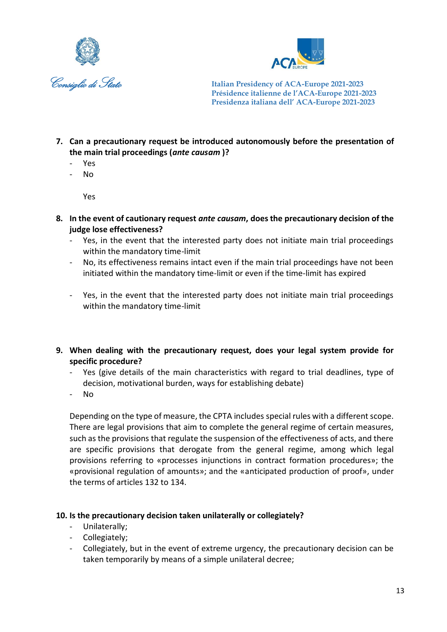



- **7. Can a precautionary request be introduced autonomously before the presentation of the main trial proceedings (***ante causam* **)?**
	- Yes
	- No

Yes

- **8. In the event of cautionary request** *ante causam***, does the precautionary decision of the judge lose effectiveness?**
	- Yes, in the event that the interested party does not initiate main trial proceedings within the mandatory time-limit
	- No, its effectiveness remains intact even if the main trial proceedings have not been initiated within the mandatory time-limit or even if the time-limit has expired
	- Yes, in the event that the interested party does not initiate main trial proceedings within the mandatory time-limit
- **9. When dealing with the precautionary request, does your legal system provide for specific procedure?**
	- Yes (give details of the main characteristics with regard to trial deadlines, type of decision, motivational burden, ways for establishing debate)
	- No

Depending on the type of measure, the CPTA includes special rules with a different scope. There are legal provisions that aim to complete the general regime of certain measures, such as the provisions that regulate the suspension of the effectiveness of acts, and there are specific provisions that derogate from the general regime, among which legal provisions referring to «processes injunctions in contract formation procedures»; the «provisional regulation of amounts»; and the «anticipated production of proof», under the terms of articles 132 to 134.

#### **10. Is the precautionary decision taken unilaterally or collegiately?**

- Unilaterally;
- Collegiately;
- Collegiately, but in the event of extreme urgency, the precautionary decision can be taken temporarily by means of a simple unilateral decree;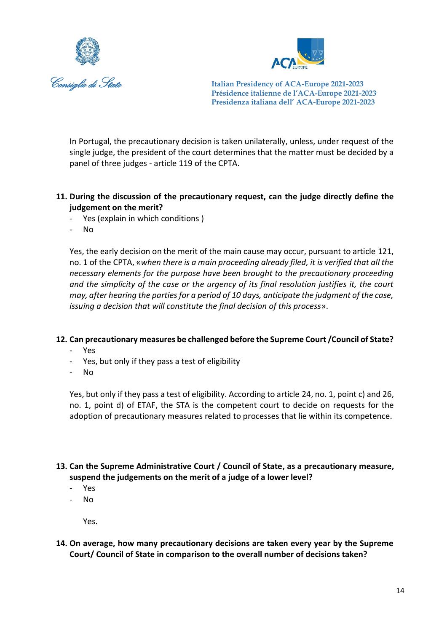



In Portugal, the precautionary decision is taken unilaterally, unless, under request of the single judge, the president of the court determines that the matter must be decided by a panel of three judges - article 119 of the CPTA.

- **11. During the discussion of the precautionary request, can the judge directly define the judgement on the merit?**
	- Yes (explain in which conditions)
	- No

Yes, the early decision on the merit of the main cause may occur, pursuant to article 121, no. 1 of the CPTA, «*when there is a main proceeding already filed, it is verified that all the necessary elements for the purpose have been brought to the precautionary proceeding and the simplicity of the case or the urgency of its final resolution justifies it, the court may, after hearing the parties for a period of 10 days, anticipate the judgment of the case, issuing a decision that will constitute the final decision of this process*».

#### **12. Can precautionary measures be challenged before the Supreme Court /Council of State?**

- Yes
- Yes, but only if they pass a test of eligibility
- No

Yes, but only if they pass a test of eligibility. According to article 24, no. 1, point c) and 26, no. 1, point d) of ETAF, the STA is the competent court to decide on requests for the adoption of precautionary measures related to processes that lie within its competence.

- **13. Can the Supreme Administrative Court / Council of State, as a precautionary measure, suspend the judgements on the merit of a judge of a lower level?**
	- Yes
	- No

Yes.

**14. On average, how many precautionary decisions are taken every year by the Supreme Court/ Council of State in comparison to the overall number of decisions taken?**